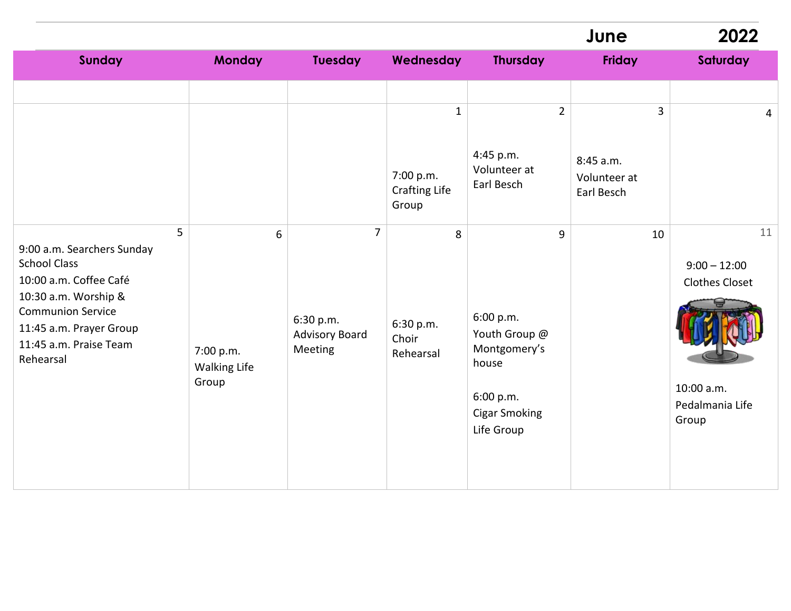|                                                                                                                                                                                                        |                                                |                                                                 |                                                   |                                                                                                             | June                                                      | 2022                                                                                    |
|--------------------------------------------------------------------------------------------------------------------------------------------------------------------------------------------------------|------------------------------------------------|-----------------------------------------------------------------|---------------------------------------------------|-------------------------------------------------------------------------------------------------------------|-----------------------------------------------------------|-----------------------------------------------------------------------------------------|
| <b>Sunday</b>                                                                                                                                                                                          | <b>Monday</b>                                  | <b>Tuesday</b>                                                  | Wednesday                                         | <b>Thursday</b>                                                                                             | <b>Friday</b>                                             | Saturday                                                                                |
|                                                                                                                                                                                                        |                                                |                                                                 | $\mathbf{1}$<br>7:00 p.m.<br><b>Crafting Life</b> | $\overline{2}$<br>4:45 p.m.<br>Volunteer at<br>Earl Besch                                                   | $\overline{3}$<br>8:45 a.m.<br>Volunteer at<br>Earl Besch | $\overline{4}$                                                                          |
| 5<br>9:00 a.m. Searchers Sunday<br><b>School Class</b><br>10:00 a.m. Coffee Café<br>10:30 a.m. Worship &<br><b>Communion Service</b><br>11:45 a.m. Prayer Group<br>11:45 a.m. Praise Team<br>Rehearsal | 6<br>7:00 p.m.<br><b>Walking Life</b><br>Group | $\overline{7}$<br>6:30 p.m.<br><b>Advisory Board</b><br>Meeting | Group<br>8<br>6:30 p.m.<br>Choir<br>Rehearsal     | 9<br>6:00 p.m.<br>Youth Group @<br>Montgomery's<br>house<br>6:00 p.m.<br><b>Cigar Smoking</b><br>Life Group | 10                                                        | 11<br>$9:00 - 12:00$<br><b>Clothes Closet</b><br>10:00 a.m.<br>Pedalmania Life<br>Group |